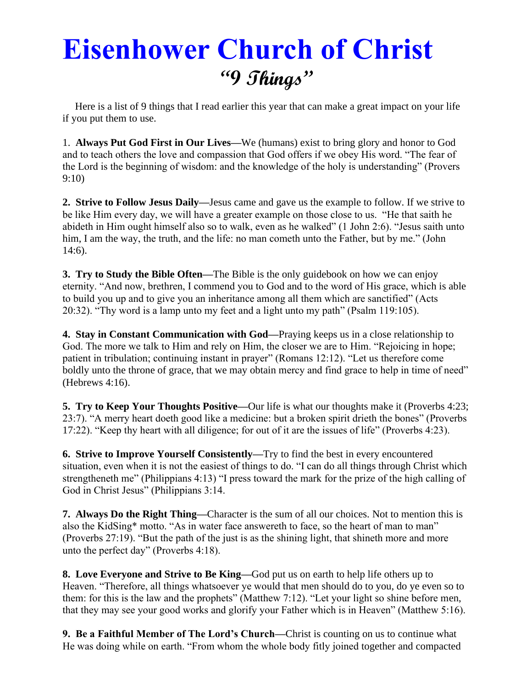# **Eisenhower Church of Christ "9 Things"**

 Here is a list of 9 things that I read earlier this year that can make a great impact on your life if you put them to use.

1. **Always Put God First in Our Lives—**We (humans) exist to bring glory and honor to God and to teach others the love and compassion that God offers if we obey His word. "The fear of the Lord is the beginning of wisdom: and the knowledge of the holy is understanding" (Provers 9:10)

**2. Strive to Follow Jesus Daily—**Jesus came and gave us the example to follow. If we strive to be like Him every day, we will have a greater example on those close to us. "He that saith he abideth in Him ought himself also so to walk, even as he walked" (1 John 2:6). "Jesus saith unto him, I am the way, the truth, and the life: no man cometh unto the Father, but by me." (John 14:6).

**3. Try to Study the Bible Often—**The Bible is the only guidebook on how we can enjoy eternity. "And now, brethren, I commend you to God and to the word of His grace, which is able to build you up and to give you an inheritance among all them which are sanctified" (Acts 20:32). "Thy word is a lamp unto my feet and a light unto my path" (Psalm 119:105).

**4. Stay in Constant Communication with God—**Praying keeps us in a close relationship to God. The more we talk to Him and rely on Him, the closer we are to Him. "Rejoicing in hope; patient in tribulation; continuing instant in prayer" (Romans 12:12). "Let us therefore come boldly unto the throne of grace, that we may obtain mercy and find grace to help in time of need" (Hebrews 4:16).

**5. Try to Keep Your Thoughts Positive—**Our life is what our thoughts make it (Proverbs 4:23; 23:7). "A merry heart doeth good like a medicine: but a broken spirit drieth the bones" (Proverbs 17:22). "Keep thy heart with all diligence; for out of it are the issues of life" (Proverbs 4:23).

**6. Strive to Improve Yourself Consistently—**Try to find the best in every encountered situation, even when it is not the easiest of things to do. "I can do all things through Christ which strengtheneth me" (Philippians 4:13) "I press toward the mark for the prize of the high calling of God in Christ Jesus" (Philippians 3:14.

**7. Always Do the Right Thing—**Character is the sum of all our choices. Not to mention this is also the KidSing\* motto. "As in water face answereth to face, so the heart of man to man" (Proverbs 27:19). "But the path of the just is as the shining light, that shineth more and more unto the perfect day" (Proverbs 4:18).

**8. Love Everyone and Strive to Be King—**God put us on earth to help life others up to Heaven. "Therefore, all things whatsoever ye would that men should do to you, do ye even so to them: for this is the law and the prophets" (Matthew 7:12). "Let your light so shine before men, that they may see your good works and glorify your Father which is in Heaven" (Matthew 5:16).

**9. Be a Faithful Member of The Lord's Church—**Christ is counting on us to continue what He was doing while on earth. "From whom the whole body fitly joined together and compacted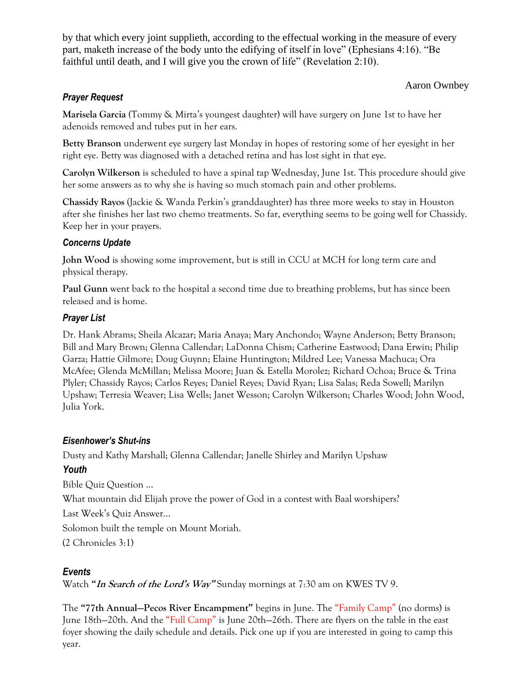by that which every joint supplieth, according to the effectual working in the measure of every part, maketh increase of the body unto the edifying of itself in love" (Ephesians 4:16). "Be faithful until death, and I will give you the crown of life" (Revelation 2:10).

#### Aaron Ownbey

## *Prayer Request*

**Marisela Garcia (**Tommy & Mirta's youngest daughter) will have surgery on June 1st to have her adenoids removed and tubes put in her ears.

**Betty Branson** underwent eye surgery last Monday in hopes of restoring some of her eyesight in her right eye. Betty was diagnosed with a detached retina and has lost sight in that eye.

**Carolyn Wilkerson** is scheduled to have a spinal tap Wednesday, June 1st. This procedure should give her some answers as to why she is having so much stomach pain and other problems.

**Chassidy Rayos** (Jackie & Wanda Perkin's granddaughter) has three more weeks to stay in Houston after she finishes her last two chemo treatments. So far, everything seems to be going well for Chassidy. Keep her in your prayers.

## *Concerns Update*

**John Wood** is showing some improvement, but is still in CCU at MCH for long term care and physical therapy.

**Paul Gunn** went back to the hospital a second time due to breathing problems, but has since been released and is home.

## *Prayer List*

Dr. Hank Abrams; Sheila Alcazar; Maria Anaya; Mary Anchondo; Wayne Anderson; Betty Branson; Bill and Mary Brown; Glenna Callendar; LaDonna Chism; Catherine Eastwood; Dana Erwin; Philip Garza; Hattie Gilmore; Doug Guynn; Elaine Huntington; Mildred Lee; Vanessa Machuca; Ora McAfee; Glenda McMillan; Melissa Moore; Juan & Estella Morolez; Richard Ochoa; Bruce & Trina Plyler; Chassidy Rayos; Carlos Reyes; Daniel Reyes; David Ryan; Lisa Salas; Reda Sowell; Marilyn Upshaw; Terresia Weaver; Lisa Wells; Janet Wesson; Carolyn Wilkerson; Charles Wood; John Wood, Julia York.

## *Eisenhower's Shut-ins*

Dusty and Kathy Marshall; Glenna Callendar; Janelle Shirley and Marilyn Upshaw

# *Youth*

Bible Quiz Question …

What mountain did Elijah prove the power of God in a contest with Baal worshipers?

Last Week's Quiz Answer…

Solomon built the temple on Mount Moriah.

(2 Chronicles 3:1)

# *Events*

Watch **"In Search of the Lord's Way"** Sunday mornings at 7:30 am on KWES TV 9.

The **"77th Annual—Pecos River Encampment"** begins in June. The "Family Camp" (no dorms) is June 18th—20th. And the "Full Camp" is June 20th—26th. There are flyers on the table in the east foyer showing the daily schedule and details. Pick one up if you are interested in going to camp this year.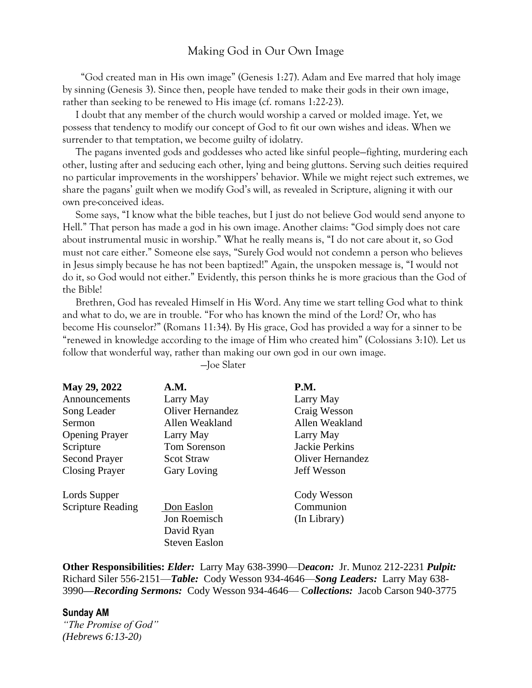# Making God in Our Own Image

 "God created man in His own image" (Genesis 1:27). Adam and Eve marred that holy image by sinning (Genesis 3). Since then, people have tended to make their gods in their own image, rather than seeking to be renewed to His image (cf. romans 1:22-23).

 I doubt that any member of the church would worship a carved or molded image. Yet, we possess that tendency to modify our concept of God to fit our own wishes and ideas. When we surrender to that temptation, we become guilty of idolatry.

 The pagans invented gods and goddesses who acted like sinful people—fighting, murdering each other, lusting after and seducing each other, lying and being gluttons. Serving such deities required no particular improvements in the worshippers' behavior. While we might reject such extremes, we share the pagans' guilt when we modify God's will, as revealed in Scripture, aligning it with our own pre-conceived ideas.

 Some says, "I know what the bible teaches, but I just do not believe God would send anyone to Hell." That person has made a god in his own image. Another claims: "God simply does not care about instrumental music in worship." What he really means is, "I do not care about it, so God must not care either." Someone else says, "Surely God would not condemn a person who believes in Jesus simply because he has not been baptized!" Again, the unspoken message is, "I would not do it, so God would not either." Evidently, this person thinks he is more gracious than the God of the Bible!

 Brethren, God has revealed Himself in His Word. Any time we start telling God what to think and what to do, we are in trouble. "For who has known the mind of the Lord? Or, who has become His counselor?" (Romans 11:34). By His grace, God has provided a way for a sinner to be "renewed in knowledge according to the image of Him who created him" (Colossians 3:10). Let us follow that wonderful way, rather than making our own god in our own image.

—Joe Slater

| May 29, 2022<br>Announcements<br>Song Leader<br>Sermon | A.M.<br>Larry May<br><b>Oliver Hernandez</b><br>Allen Weakland | <b>P.M.</b><br>Larry May<br>Craig Wesson<br>Allen Weakland |
|--------------------------------------------------------|----------------------------------------------------------------|------------------------------------------------------------|
| <b>Opening Prayer</b>                                  | Larry May                                                      | Larry May                                                  |
| Scripture                                              | <b>Tom Sorenson</b>                                            | <b>Jackie Perkins</b>                                      |
| <b>Second Prayer</b>                                   | <b>Scot Straw</b>                                              | Oliver Hernandez                                           |
| <b>Closing Prayer</b>                                  | <b>Gary Loving</b>                                             | <b>Jeff Wesson</b>                                         |
| Lords Supper                                           |                                                                | Cody Wesson                                                |
| <b>Scripture Reading</b>                               | Don Easlon                                                     | Communion                                                  |
|                                                        | Jon Roemisch                                                   | (In Library)                                               |
|                                                        | David Ryan                                                     |                                                            |
|                                                        | <b>Steven Easlon</b>                                           |                                                            |

**Other Responsibilities:** *Elder:* Larry May 638-3990—D*eacon:*Jr. Munoz 212-2231 *Pulpit:* Richard Siler 556-2151—*Table:* Cody Wesson 934-4646—*Song Leaders:* Larry May 638- 3990*—Recording Sermons:* Cody Wesson 934-4646— C*ollections:* Jacob Carson 940-3775

#### **Sunday AM**

*"The Promise of God" (Hebrews 6:13-20)*